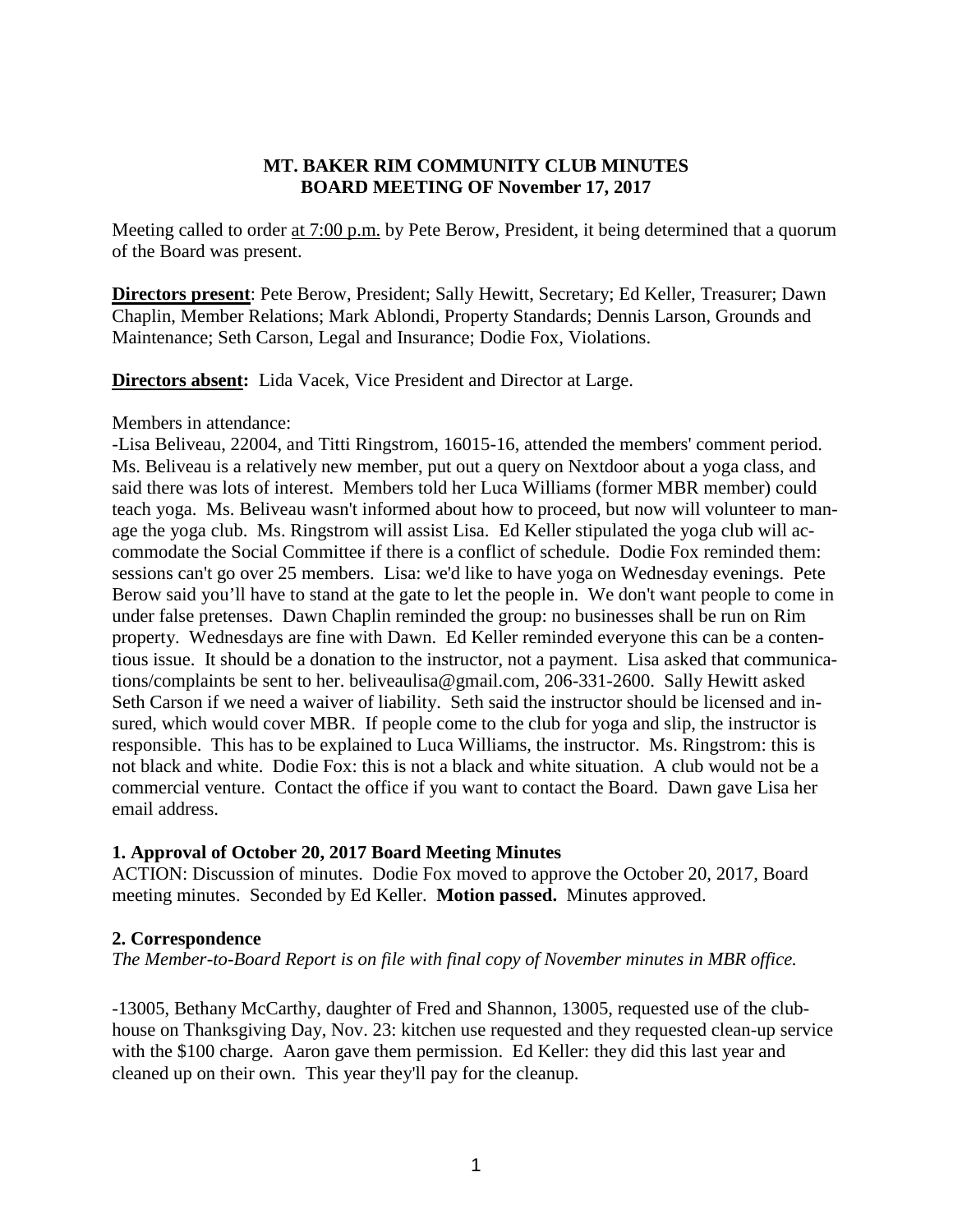### **MT. BAKER RIM COMMUNITY CLUB MINUTES BOARD MEETING OF November 17, 2017**

Meeting called to order at 7:00 p.m. by Pete Berow, President, it being determined that a quorum of the Board was present.

**Directors present**: Pete Berow, President; Sally Hewitt, Secretary; Ed Keller, Treasurer; Dawn Chaplin, Member Relations; Mark Ablondi, Property Standards; Dennis Larson, Grounds and Maintenance; Seth Carson, Legal and Insurance; Dodie Fox, Violations.

**Directors absent:** Lida Vacek, Vice President and Director at Large.

#### Members in attendance:

-Lisa Beliveau, 22004, and Titti Ringstrom, 16015-16, attended the members' comment period. Ms. Beliveau is a relatively new member, put out a query on Nextdoor about a yoga class, and said there was lots of interest. Members told her Luca Williams (former MBR member) could teach yoga. Ms. Beliveau wasn't informed about how to proceed, but now will volunteer to manage the yoga club. Ms. Ringstrom will assist Lisa. Ed Keller stipulated the yoga club will accommodate the Social Committee if there is a conflict of schedule. Dodie Fox reminded them: sessions can't go over 25 members. Lisa: we'd like to have yoga on Wednesday evenings. Pete Berow said you'll have to stand at the gate to let the people in. We don't want people to come in under false pretenses. Dawn Chaplin reminded the group: no businesses shall be run on Rim property. Wednesdays are fine with Dawn. Ed Keller reminded everyone this can be a contentious issue. It should be a donation to the instructor, not a payment. Lisa asked that communications/complaints be sent to her. beliveaulisa@gmail.com, 206-331-2600. Sally Hewitt asked Seth Carson if we need a waiver of liability. Seth said the instructor should be licensed and insured, which would cover MBR. If people come to the club for yoga and slip, the instructor is responsible. This has to be explained to Luca Williams, the instructor. Ms. Ringstrom: this is not black and white. Dodie Fox: this is not a black and white situation. A club would not be a commercial venture. Contact the office if you want to contact the Board. Dawn gave Lisa her email address.

# **1. Approval of October 20, 2017 Board Meeting Minutes**

ACTION: Discussion of minutes. Dodie Fox moved to approve the October 20, 2017, Board meeting minutes. Seconded by Ed Keller. **Motion passed.** Minutes approved.

# **2. Correspondence**

*The Member-to-Board Report is on file with final copy of November minutes in MBR office.*

-13005, Bethany McCarthy, daughter of Fred and Shannon, 13005, requested use of the clubhouse on Thanksgiving Day, Nov. 23: kitchen use requested and they requested clean-up service with the \$100 charge. Aaron gave them permission. Ed Keller: they did this last year and cleaned up on their own. This year they'll pay for the cleanup.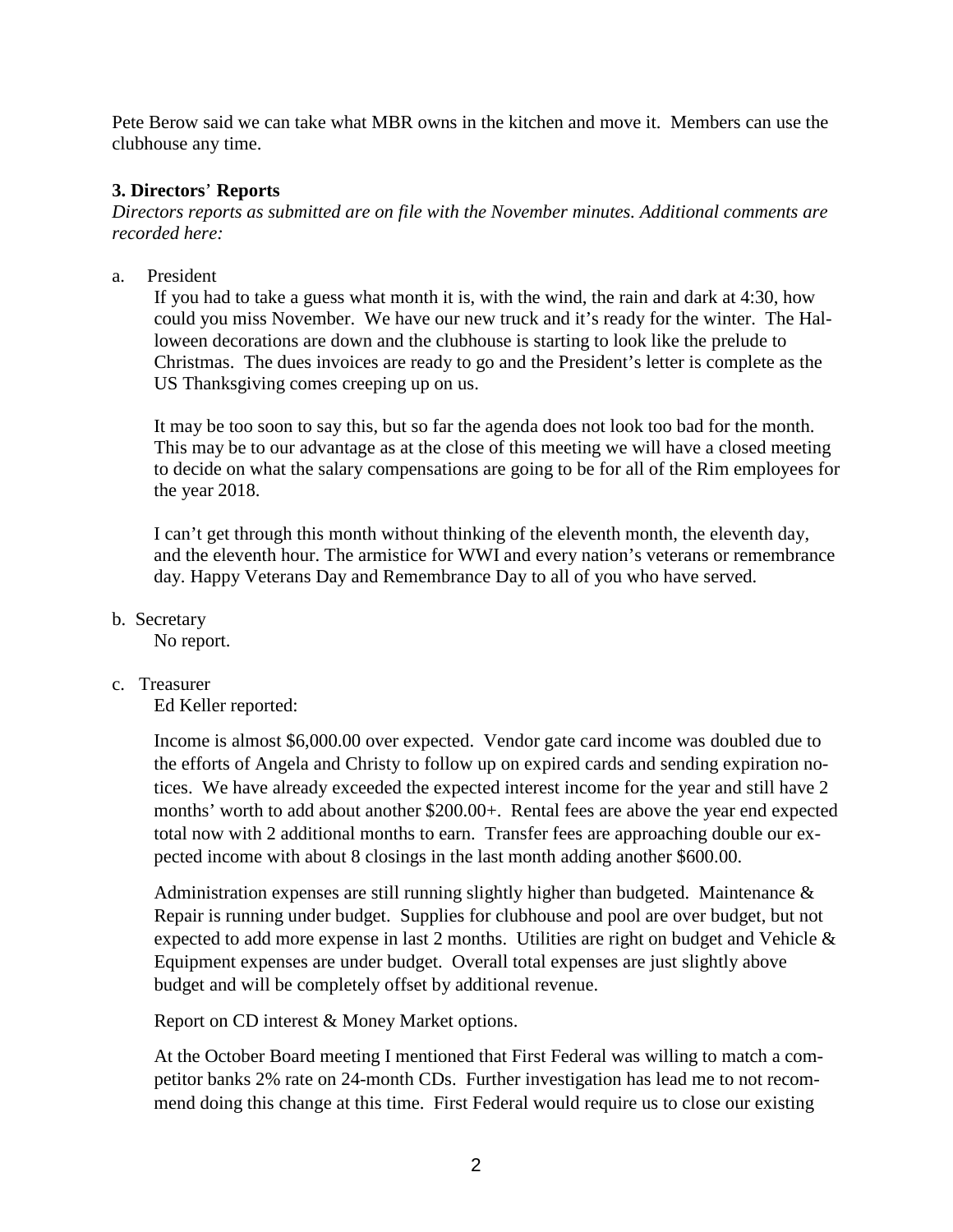Pete Berow said we can take what MBR owns in the kitchen and move it. Members can use the clubhouse any time.

## **3. Directors**' **Reports**

*Directors reports as submitted are on file with the November minutes. Additional comments are recorded here:*

a. President

If you had to take a guess what month it is, with the wind, the rain and dark at 4:30, how could you miss November. We have our new truck and it's ready for the winter. The Halloween decorations are down and the clubhouse is starting to look like the prelude to Christmas. The dues invoices are ready to go and the President's letter is complete as the US Thanksgiving comes creeping up on us.

It may be too soon to say this, but so far the agenda does not look too bad for the month. This may be to our advantage as at the close of this meeting we will have a closed meeting to decide on what the salary compensations are going to be for all of the Rim employees for the year 2018.

I can't get through this month without thinking of the eleventh month, the eleventh day, and the eleventh hour. The armistice for WWI and every nation's veterans or remembrance day. Happy Veterans Day and Remembrance Day to all of you who have served.

b. Secretary

No report.

# c. Treasurer

Ed Keller reported:

Income is almost \$6,000.00 over expected. Vendor gate card income was doubled due to the efforts of Angela and Christy to follow up on expired cards and sending expiration notices. We have already exceeded the expected interest income for the year and still have 2 months' worth to add about another \$200.00+. Rental fees are above the year end expected total now with 2 additional months to earn. Transfer fees are approaching double our expected income with about 8 closings in the last month adding another \$600.00.

Administration expenses are still running slightly higher than budgeted. Maintenance & Repair is running under budget. Supplies for clubhouse and pool are over budget, but not expected to add more expense in last 2 months. Utilities are right on budget and Vehicle & Equipment expenses are under budget. Overall total expenses are just slightly above budget and will be completely offset by additional revenue.

Report on CD interest & Money Market options.

At the October Board meeting I mentioned that First Federal was willing to match a competitor banks 2% rate on 24-month CDs. Further investigation has lead me to not recommend doing this change at this time. First Federal would require us to close our existing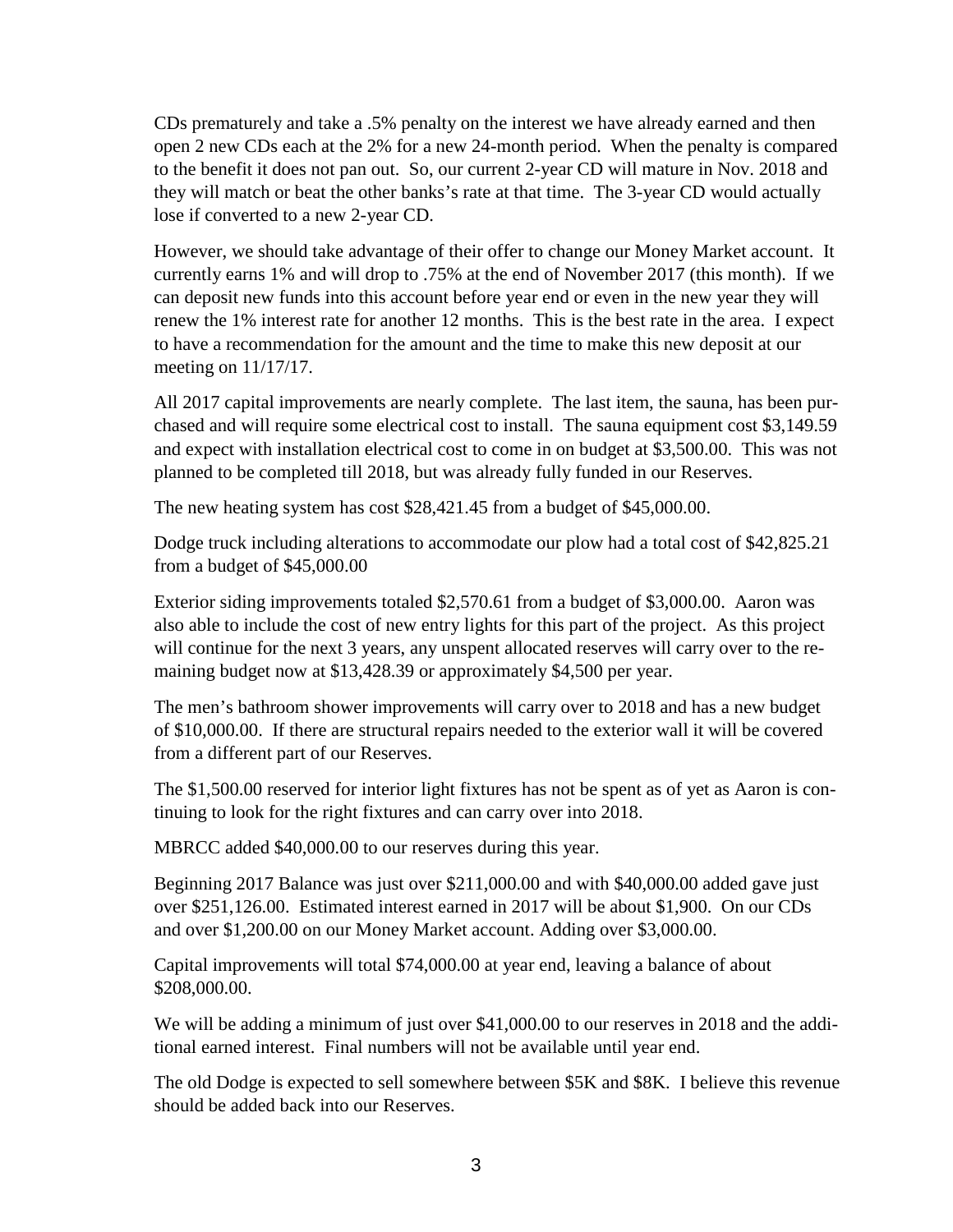CDs prematurely and take a .5% penalty on the interest we have already earned and then open 2 new CDs each at the 2% for a new 24-month period. When the penalty is compared to the benefit it does not pan out. So, our current 2-year CD will mature in Nov. 2018 and they will match or beat the other banks's rate at that time. The 3-year CD would actually lose if converted to a new 2-year CD.

However, we should take advantage of their offer to change our Money Market account. It currently earns 1% and will drop to .75% at the end of November 2017 (this month). If we can deposit new funds into this account before year end or even in the new year they will renew the 1% interest rate for another 12 months. This is the best rate in the area. I expect to have a recommendation for the amount and the time to make this new deposit at our meeting on 11/17/17.

All 2017 capital improvements are nearly complete. The last item, the sauna, has been purchased and will require some electrical cost to install. The sauna equipment cost \$3,149.59 and expect with installation electrical cost to come in on budget at \$3,500.00. This was not planned to be completed till 2018, but was already fully funded in our Reserves.

The new heating system has cost \$28,421.45 from a budget of \$45,000.00.

Dodge truck including alterations to accommodate our plow had a total cost of \$42,825.21 from a budget of \$45,000.00

Exterior siding improvements totaled \$2,570.61 from a budget of \$3,000.00. Aaron was also able to include the cost of new entry lights for this part of the project. As this project will continue for the next 3 years, any unspent allocated reserves will carry over to the remaining budget now at \$13,428.39 or approximately \$4,500 per year.

The men's bathroom shower improvements will carry over to 2018 and has a new budget of \$10,000.00. If there are structural repairs needed to the exterior wall it will be covered from a different part of our Reserves.

The \$1,500.00 reserved for interior light fixtures has not be spent as of yet as Aaron is continuing to look for the right fixtures and can carry over into 2018.

MBRCC added \$40,000.00 to our reserves during this year.

Beginning 2017 Balance was just over \$211,000.00 and with \$40,000.00 added gave just over \$251,126.00. Estimated interest earned in 2017 will be about \$1,900. On our CDs and over \$1,200.00 on our Money Market account. Adding over \$3,000.00.

Capital improvements will total \$74,000.00 at year end, leaving a balance of about \$208,000.00.

We will be adding a minimum of just over \$41,000.00 to our reserves in 2018 and the additional earned interest. Final numbers will not be available until year end.

The old Dodge is expected to sell somewhere between \$5K and \$8K. I believe this revenue should be added back into our Reserves.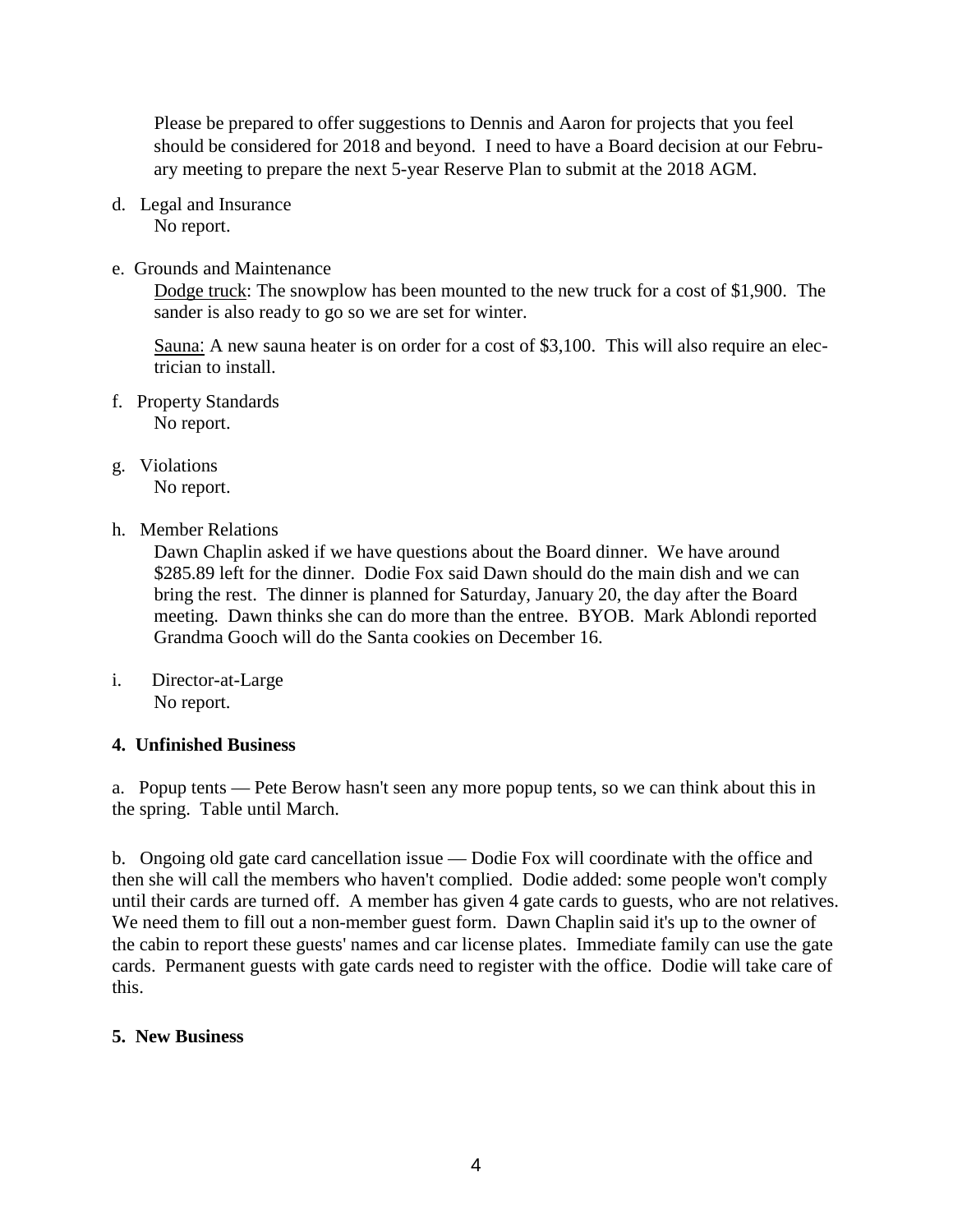Please be prepared to offer suggestions to Dennis and Aaron for projects that you feel should be considered for 2018 and beyond. I need to have a Board decision at our February meeting to prepare the next 5-year Reserve Plan to submit at the 2018 AGM.

- d. Legal and Insurance No report.
- e. Grounds and Maintenance

Dodge truck: The snowplow has been mounted to the new truck for a cost of \$1,900. The sander is also ready to go so we are set for winter.

Sauna[:](http://www.apple.com/) A new sauna heater is on order for a cost of \$3,100. This will also require an electrician to install.

- f. Property Standards No report.
- g. Violations No report.
- h. Member Relations

Dawn Chaplin asked if we have questions about the Board dinner. We have around \$285.89 left for the dinner. Dodie Fox said Dawn should do the main dish and we can bring the rest. The dinner is planned for Saturday, January 20, the day after the Board meeting. Dawn thinks she can do more than the entree. BYOB. Mark Ablondi reported Grandma Gooch will do the Santa cookies on December 16.

i. Director-at-Large No report.

# **4. Unfinished Business**

a. Popup tents — Pete Berow hasn't seen any more popup tents, so we can think about this in the spring. Table until March.

b. Ongoing old gate card cancellation issue — Dodie Fox will coordinate with the office and then she will call the members who haven't complied. Dodie added: some people won't comply until their cards are turned off. A member has given 4 gate cards to guests, who are not relatives. We need them to fill out a non-member guest form. Dawn Chaplin said it's up to the owner of the cabin to report these guests' names and car license plates. Immediate family can use the gate cards. Permanent guests with gate cards need to register with the office. Dodie will take care of this.

# **5. New Business**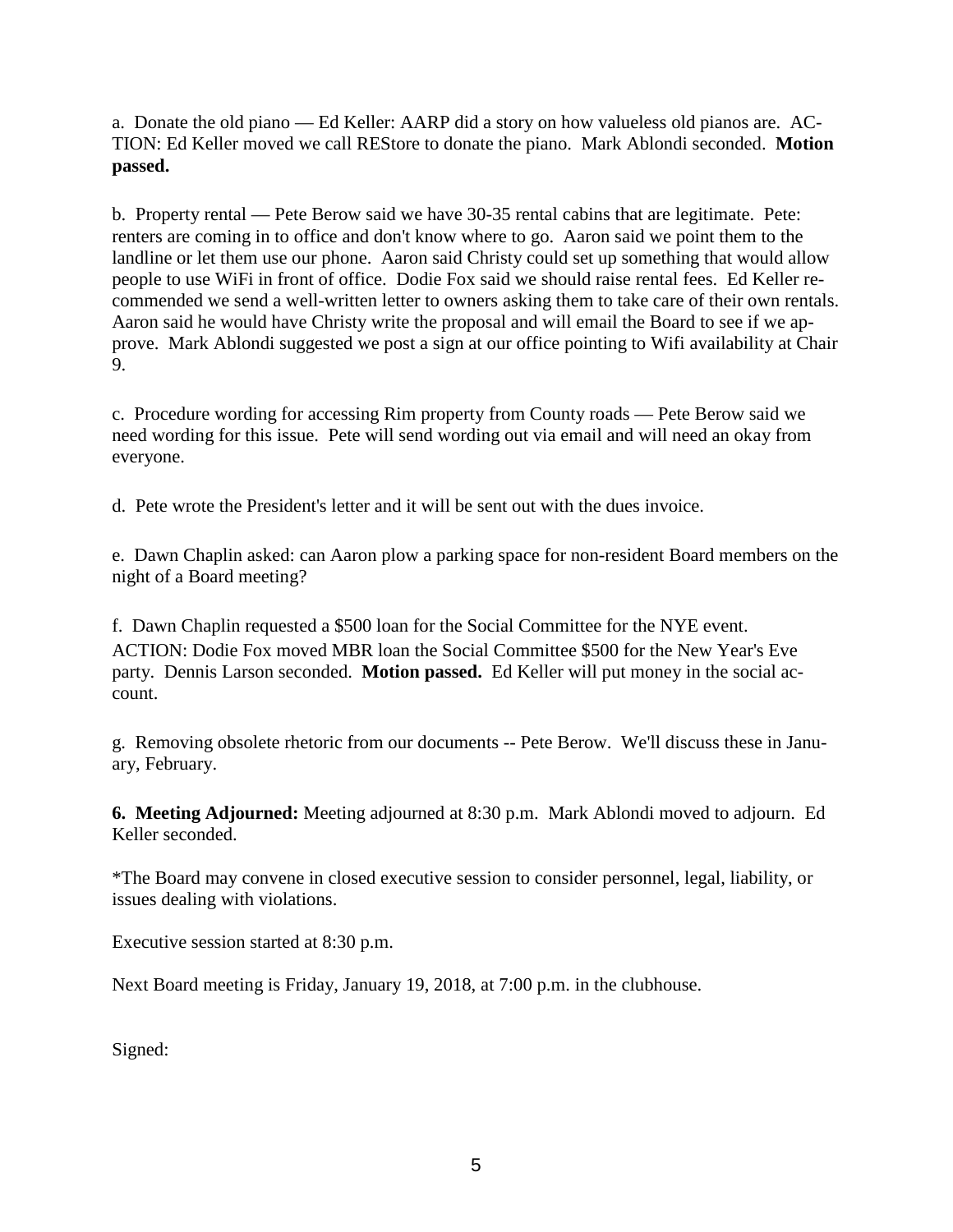a. Donate the old piano — Ed Keller: AARP did a story on how valueless old pianos are. AC-TION: Ed Keller moved we call REStore to donate the piano. Mark Ablondi seconded. **Motion passed.**

b. Property rental — Pete Berow said we have 30-35 rental cabins that are legitimate. Pete: renters are coming in to office and don't know where to go. Aaron said we point them to the landline or let them use our phone. Aaron said Christy could set up something that would allow people to use WiFi in front of office. Dodie Fox said we should raise rental fees. Ed Keller recommended we send a well-written letter to owners asking them to take care of their own rentals. Aaron said he would have Christy write the proposal and will email the Board to see if we approve. Mark Ablondi suggested we post a sign at our office pointing to Wifi availability at Chair 9.

c. Procedure wording for accessing Rim property from County roads — Pete Berow said we need wording for this issue. Pete will send wording out via email and will need an okay from everyone.

d. Pete wrote the President's letter and it will be sent out with the dues invoice.

e. Dawn Chaplin asked: can Aaron plow a parking space for non-resident Board members on the night of a Board meeting?

f. Dawn Chaplin requested a \$500 loan for the Social Committee for the NYE event. ACTION: Dodie Fox moved MBR loan the Social Committee \$500 for the New Year's Eve party. Dennis Larson seconded. **Motion passed.** Ed Keller will put money in the social account.

g. Removing obsolete rhetoric from our documents -- Pete Berow. We'll discuss these in January, February.

**6. Meeting Adjourned:** Meeting adjourned at 8:30 p.m. Mark Ablondi moved to adjourn. Ed Keller seconded.

\*The Board may convene in closed executive session to consider personnel, legal, liability, or issues dealing with violations.

Executive session started at 8:30 p.m.

Next Board meeting is Friday, January 19, 2018, at 7:00 p.m. in the clubhouse.

Signed: